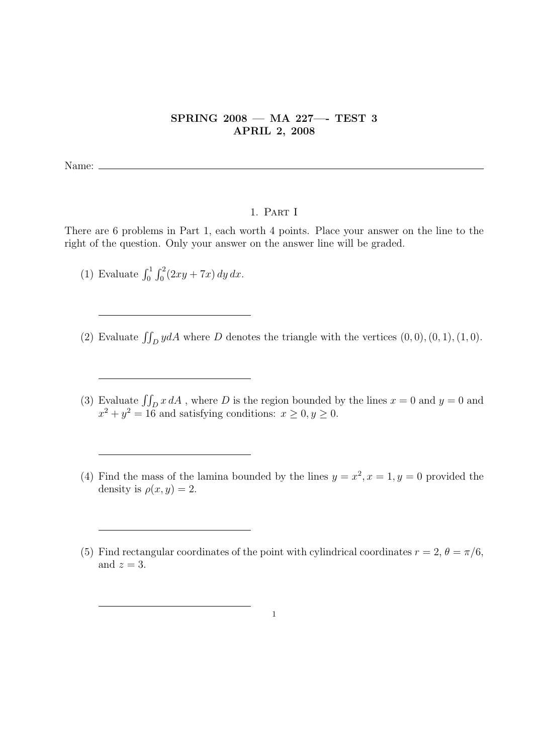## SPRING 2008 — MA 227—- TEST 3 APRIL 2, 2008

Name:  $\equiv$ 

## 1. Part I

There are 6 problems in Part 1, each worth 4 points. Place your answer on the line to the right of the question. Only your answer on the answer line will be graded.

- (1) Evaluate  $\int_0^1$  $r<sup>2</sup>$  $\int_0^2 (2xy + 7x) \, dy \, dx.$
- (2) Evaluate  $\iint_D y dA$  where D denotes the triangle with the vertices  $(0, 0), (0, 1), (1, 0)$ .
- (3) Evaluate  $\iint_D x dA$ , where D is the region bounded by the lines  $x = 0$  and  $y = 0$  and  $x^2 + y^2 = 16$  and satisfying conditions:  $x \ge 0, y \ge 0$ .
- (4) Find the mass of the lamina bounded by the lines  $y = x^2, x = 1, y = 0$  provided the density is  $\rho(x, y) = 2$ .
- (5) Find rectangular coordinates of the point with cylindrical coordinates  $r = 2$ ,  $\theta = \pi/6$ , and  $z = 3$ .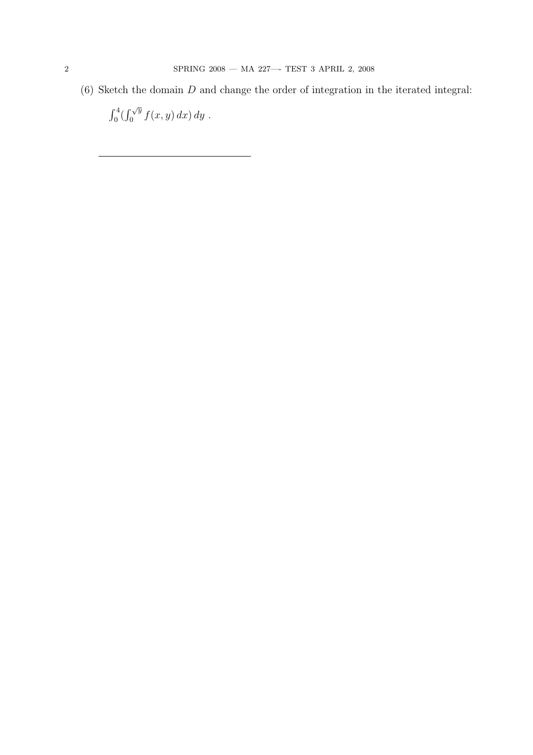(6) Sketch the domain  $D$  and change the order of integration in the iterated integral:

 $r<sup>4</sup>$  $\int_{0}^{4}(\int_{0}^{\sqrt{y}})$  $\int_0^{\sqrt{y}} f(x, y) dx dy$ .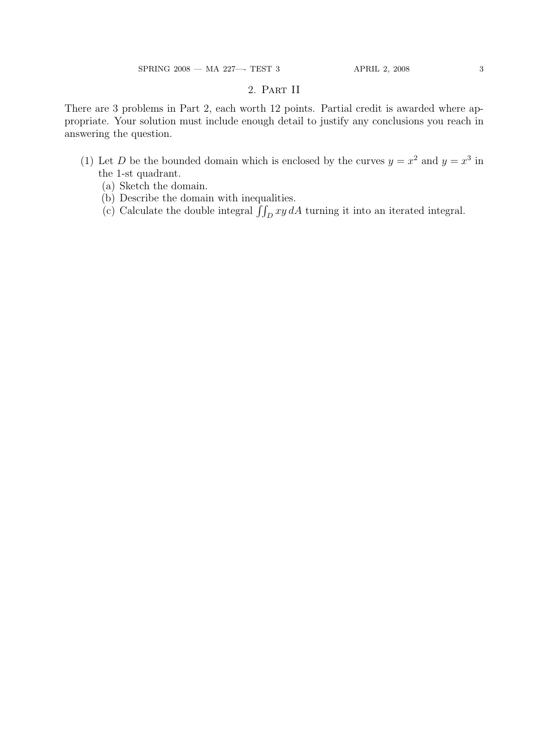## 2. Part II

There are 3 problems in Part 2, each worth 12 points. Partial credit is awarded where appropriate. Your solution must include enough detail to justify any conclusions you reach in answering the question.

- (1) Let D be the bounded domain which is enclosed by the curves  $y = x^2$  and  $y = x^3$  in the 1-st quadrant.
	- (a) Sketch the domain.
	- (b) Describe the domain with inequalities.
	- (b) Describe the domain with inequalities.<br>
	(c) Calculate the double integral  $\iint_D xy dA$  turning it into an iterated integral.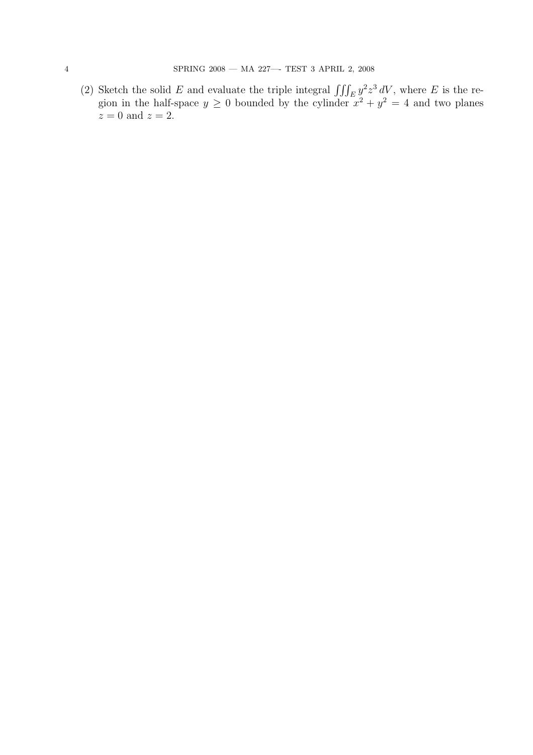(2) Sketch the solid E and evaluate the triple integral  $\iiint_E y^2 z^3 dV$ , where E is the region in the half-space  $y \geq 0$  bounded by the cylinder  $x^2 + y^2 = 4$  and two planes  $z = 0$  and  $z = 2$ .